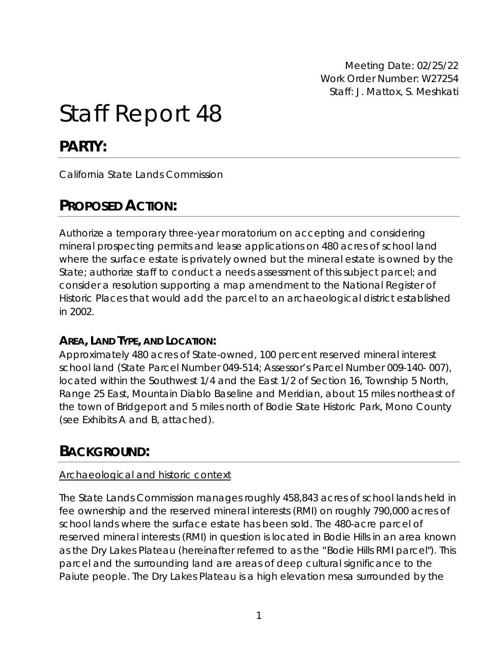Meeting Date: 02/25/22 Work Order Number: W27254 Staff: J. Mattox, S. Meshkati

# Staff Report 48

# **PARTY:**

California State Lands Commission

# **PROPOSED ACTION:**

Authorize a temporary three-year moratorium on accepting and considering mineral prospecting permits and lease applications on 480 acres of school land where the surface estate is privately owned but the mineral estate is owned by the State; authorize staff to conduct a needs assessment of this subject parcel; and consider a resolution supporting a map amendment to the National Register of Historic Places that would add the parcel to an archaeological district established in 2002.

### **AREA, LAND TYPE, AND LOCATION:**

Approximately 480 acres of State-owned, 100 percent reserved mineral interest school land (State Parcel Number 049-514; Assessor's Parcel Number 009-140- 007), located within the Southwest 1/4 and the East 1/2 of Section 16, Township 5 North, Range 25 East, Mountain Diablo Baseline and Meridian, about 15 miles northeast of the town of Bridgeport and 5 miles north of Bodie State Historic Park, Mono County (see Exhibits A and B, attached).

# **BACKGROUND:**

#### *Archaeological and historic context*

The State Lands Commission manages roughly 458,843 acres of school lands held in fee ownership and the reserved mineral interests (RMI) on roughly 790,000 acres of school lands where the surface estate has been sold. The 480-acre parcel of reserved mineral interests (RMI) in question is located in Bodie Hills in an area known as the Dry Lakes Plateau (hereinafter referred to as the "Bodie Hills RMI parcel"). This parcel and the surrounding land are areas of deep cultural significance to the Paiute people. The Dry Lakes Plateau is a high elevation mesa surrounded by the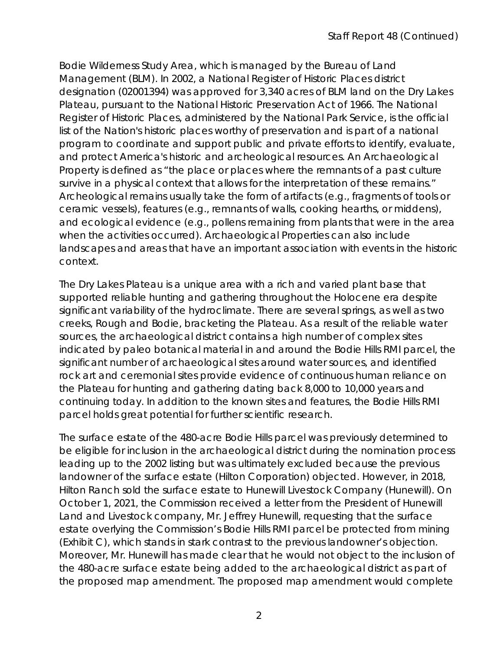Bodie Wilderness Study Area, which is managed by the Bureau of Land Management (BLM). In 2002, a National Register of Historic Places district designation (02001394) was approved for 3,340 acres of BLM land on the Dry Lakes Plateau, pursuant to the National Historic Preservation Act of 1966. The National Register of Historic Places, administered by the National Park Service, is the official list of the Nation's historic places worthy of preservation and is part of a national program to coordinate and support public and private efforts to identify, evaluate, and protect America's historic and archeological resources. An Archaeological Property is defined as "the place or places where the remnants of a past culture survive in a physical context that allows for the interpretation of these remains." Archeological remains usually take the form of artifacts (e.g., fragments of tools or ceramic vessels), features (e.g., remnants of walls, cooking hearths, or middens), and ecological evidence (e.g., pollens remaining from plants that were in the area when the activities occurred). Archaeological Properties can also include landscapes and areas that have an important association with events in the historic context.

The Dry Lakes Plateau is a unique area with a rich and varied plant base that supported reliable hunting and gathering throughout the Holocene era despite significant variability of the hydroclimate. There are several springs, as well as two creeks, Rough and Bodie, bracketing the Plateau. As a result of the reliable water sources, the archaeological district contains a high number of complex sites indicated by paleo botanical material in and around the Bodie Hills RMI parcel, the significant number of archaeological sites around water sources, and identified rock art and ceremonial sites provide evidence of continuous human reliance on the Plateau for hunting and gathering dating back 8,000 to 10,000 years and continuing today. In addition to the known sites and features, the Bodie Hills RMI parcel holds great potential for further scientific research.

The surface estate of the 480-acre Bodie Hills parcel was previously determined to be eligible for inclusion in the archaeological district during the nomination process leading up to the 2002 listing but was ultimately excluded because the previous landowner of the surface estate (Hilton Corporation) objected. However, in 2018, Hilton Ranch sold the surface estate to Hunewill Livestock Company (Hunewill). On October 1, 2021, the Commission received a letter from the President of Hunewill Land and Livestock company, Mr. Jeffrey Hunewill, requesting that the surface estate overlying the Commission's Bodie Hills RMI parcel be protected from mining (Exhibit C), which stands in stark contrast to the previous landowner's objection. Moreover, Mr. Hunewill has made clear that he would not object to the inclusion of the 480-acre surface estate being added to the archaeological district as part of the proposed map amendment. The proposed map amendment would complete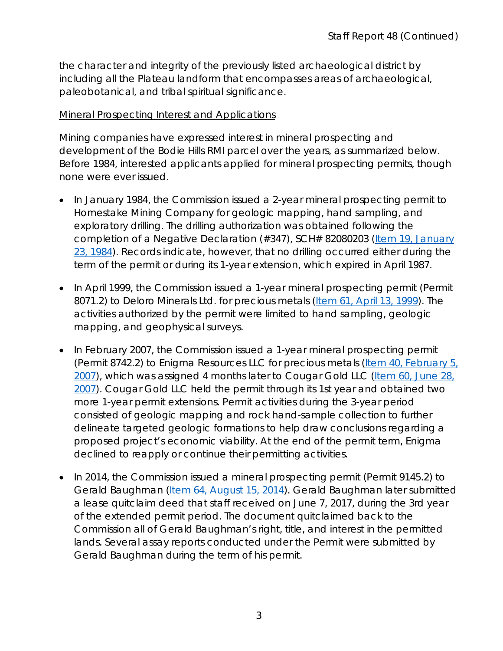the character and integrity of the previously listed archaeological district by including all the Plateau landform that encompasses areas of archaeological, paleobotanical, and tribal spiritual significance.

#### *Mineral Prospecting Interest and Applications*

Mining companies have expressed interest in mineral prospecting and development of the Bodie Hills RMI parcel over the years, as summarized below. Before 1984, interested applicants applied for mineral prospecting permits, though none were ever issued.

- In January 1984, the Commission issued a 2-year mineral prospecting permit to Homestake Mining Company for geologic mapping, hand sampling, and exploratory drilling. The drilling authorization was obtained following the completion of a Negative Declaration (#347), SCH# 82080203 [\(Item 19, January](https://www.slc.ca.gov/Meeting_Summaries/1984_Documents/01-23-84/Items/012384C19.pdf) [23, 1984\)](https://www.slc.ca.gov/Meeting_Summaries/1984_Documents/01-23-84/Items/012384C19.pdf). Records indicate, however, that no drilling occurred either during the term of the permit or during its 1-year extension, which expired in April 1987.
- In April 1999, the Commission issued a 1-year mineral prospecting permit (Permit 8071.2) to Deloro Minerals Ltd. for precious metals [\(Item 61, April 13, 1999\)](https://www.slc.ca.gov/Meeting_Summaries/1999_Documents/04-13-99/Items/041399C61.pdf). The activities authorized by the permit were limited to hand sampling, geologic mapping, and geophysical surveys.
- In February 2007, the Commission issued a 1-year mineral prospecting permit (Permit 8742.2) to Enigma Resources LLC for precious metals [\(Item 40, February 5,](https://www.slc.ca.gov/Meeting_Summaries/2007_Documents/02-05-07/Items/020507C40.pdf)  [2007\)](https://www.slc.ca.gov/Meeting_Summaries/2007_Documents/02-05-07/Items/020507C40.pdf), which was assigned 4 months later to Cougar Gold LLC [\(Item 60, June 28,](https://www.slc.ca.gov/Meeting_Summaries/2007_Documents/06-28-07/Items/062807C60.pdf)  [2007\)](https://www.slc.ca.gov/Meeting_Summaries/2007_Documents/06-28-07/Items/062807C60.pdf). Cougar Gold LLC held the permit through its 1st year and obtained two more 1-year permit extensions. Permit activities during the 3-year period consisted of geologic mapping and rock hand-sample collection to further delineate targeted geologic formations to help draw conclusions regarding a proposed project's economic viability. At the end of the permit term, Enigma declined to reapply or continue their permitting activities.
- In 2014, the Commission issued a mineral prospecting permit (Permit 9145.2) to Gerald Baughman [\(Item 64, August 15, 2014\)](https://www.slc.ca.gov/Meeting_Summaries/2014_Documents/08-15-14/Items_and_Exhibits/C64.pdf). Gerald Baughman later submitted a lease quitclaim deed that staff received on June 7, 2017, during the 3rd year of the extended permit period. The document quitclaimed back to the Commission all of Gerald Baughman's right, title, and interest in the permitted lands. Several assay reports conducted under the Permit were submitted by Gerald Baughman during the term of his permit.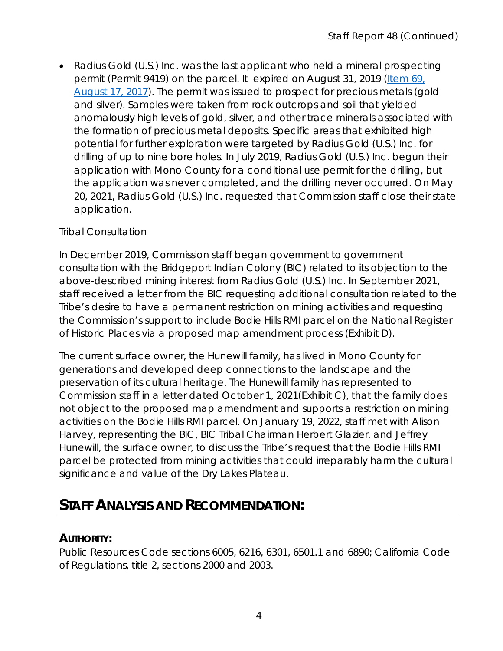• Radius Gold (U.S.) Inc. was the last applicant who held a mineral prospecting permit (Permit 9419) on the parcel. It expired on August 31, 2019 [\(Item 69,](https://www.slc.ca.gov/Meeting_Summaries/2017_Documents/08-17-17/Items_and_Exhibits/C69.pdf)  [August 17, 2017\)](https://www.slc.ca.gov/Meeting_Summaries/2017_Documents/08-17-17/Items_and_Exhibits/C69.pdf). The permit was issued to prospect for precious metals (gold and silver). Samples were taken from rock outcrops and soil that yielded anomalously high levels of gold, silver, and other trace minerals associated with the formation of precious metal deposits. Specific areas that exhibited high potential for further exploration were targeted by Radius Gold (U.S.) Inc. for drilling of up to nine bore holes. In July 2019, Radius Gold (U.S.) Inc. begun their application with Mono County for a conditional use permit for the drilling, but the application was never completed, and the drilling never occurred. On May 20, 2021, Radius Gold (U.S.) Inc. requested that Commission staff close their state application.

#### *Tribal Consultation*

In December 2019, Commission staff began government to government consultation with the Bridgeport Indian Colony (BIC) related to its objection to the above-described mining interest from Radius Gold (U.S.) Inc. In September 2021, staff received a letter from the BIC requesting additional consultation related to the Tribe's desire to have a permanent restriction on mining activities and requesting the Commission's support to include Bodie Hills RMI parcel on the National Register of Historic Places via a proposed map amendment process (Exhibit D).

The current surface owner, the Hunewill family, has lived in Mono County for generations and developed deep connections to the landscape and the preservation of its cultural heritage. The Hunewill family has represented to Commission staff in a letter dated October 1, 2021(Exhibit C), that the family does not object to the proposed map amendment and supports a restriction on mining activities on the Bodie Hills RMI parcel. On January 19, 2022, staff met with Alison Harvey, representing the BIC, BIC Tribal Chairman Herbert Glazier, and Jeffrey Hunewill, the surface owner, to discuss the Tribe's request that the Bodie Hills RMI parcel be protected from mining activities that could irreparably harm the cultural significance and value of the Dry Lakes Plateau.

## **STAFF ANALYSIS AND RECOMMENDATION:**

### **AUTHORITY:**

Public Resources Code sections 6005, 6216, 6301, 6501.1 and 6890; California Code of Regulations, title 2, sections 2000 and 2003.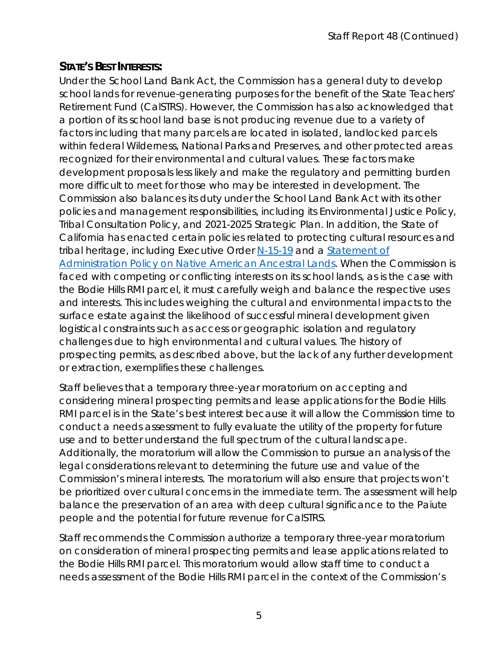### **STATE'S BEST INTERESTS:**

Under the School Land Bank Act, the Commission has a general duty to develop school lands for revenue-generating purposes for the benefit of the State Teachers' Retirement Fund (CalSTRS). However, the Commission has also acknowledged that a portion of its school land base is not producing revenue due to a variety of factors including that many parcels are located in isolated, landlocked parcels within federal Wilderness, National Parks and Preserves, and other protected areas recognized for their environmental and cultural values. These factors make development proposals less likely and make the regulatory and permitting burden more difficult to meet for those who may be interested in development. The Commission also balances its duty under the School Land Bank Act with its other policies and management responsibilities, including its Environmental Justice Policy, Tribal Consultation Policy, and 2021-2025 Strategic Plan. In addition, the State of California has enacted certain policies related to protecting cultural resources and tribal heritage, including Executive Order [N-15-19](https://www.gov.ca.gov/wp-content/uploads/2019/06/6.18.19-Executive-Order.pdf) and a Statement of [Administration Policy on Native American Ancestral Lands.](https://www.gov.ca.gov/wp-content/uploads/2020/09/9.25.20-Native-Ancestral-Lands-Policy.pdf) When the Commission is faced with competing or conflicting interests on its school lands, as is the case with the Bodie Hills RMI parcel, it must carefully weigh and balance the respective uses and interests. This includes weighing the cultural and environmental impacts to the surface estate against the likelihood of successful mineral development given logistical constraints such as access or geographic isolation and regulatory challenges due to high environmental and cultural values. The history of prospecting permits, as described above, but the lack of any further development or extraction, exemplifies these challenges.

Staff believes that a temporary three-year moratorium on accepting and considering mineral prospecting permits and lease applications for the Bodie Hills RMI parcel is in the State's best interest because it will allow the Commission time to conduct a needs assessment to fully evaluate the utility of the property for future use and to better understand the full spectrum of the cultural landscape. Additionally, the moratorium will allow the Commission to pursue an analysis of the legal considerations relevant to determining the future use and value of the Commission's mineral interests. The moratorium will also ensure that projects won't be prioritized over cultural concerns in the immediate term. The assessment will help balance the preservation of an area with deep cultural significance to the Paiute people and the potential for future revenue for CalSTRS.

Staff recommends the Commission authorize a temporary three-year moratorium on consideration of mineral prospecting permits and lease applications related to the Bodie Hills RMI parcel. This moratorium would allow staff time to conduct a needs assessment of the Bodie Hills RMI parcel in the context of the Commission's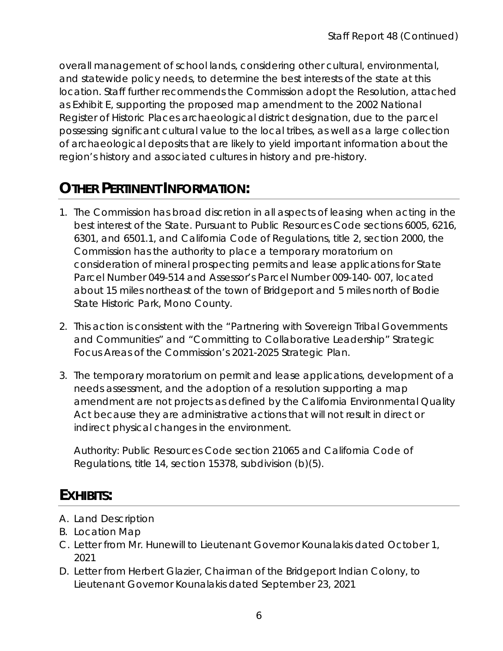overall management of school lands, considering other cultural, environmental, and statewide policy needs, to determine the best interests of the state at this location. Staff further recommends the Commission adopt the Resolution, attached as Exhibit E, supporting the proposed map amendment to the 2002 National Register of Historic Places archaeological district designation, due to the parcel possessing significant cultural value to the local tribes, as well as a large collection of archaeological deposits that are likely to yield important information about the region's history and associated cultures in history and pre-history.

# **OTHER PERTINENT INFORMATION:**

- 1. The Commission has broad discretion in all aspects of leasing when acting in the best interest of the State. Pursuant to Public Resources Code sections 6005, 6216, 6301, and 6501.1, and California Code of Regulations, title 2, section 2000, the Commission has the authority to place a temporary moratorium on consideration of mineral prospecting permits and lease applications for State Parcel Number 049-514 and Assessor's Parcel Number 009-140- 007, located about 15 miles northeast of the town of Bridgeport and 5 miles north of Bodie State Historic Park, Mono County.
- *2.* This action is consistent with the "Partnering with Sovereign Tribal Governments and Communities" and "Committing to Collaborative Leadership" Strategic Focus Areas of the Commission's 2021-2025 Strategic Plan.
- 3. The temporary moratorium on permit and lease applications, development of a needs assessment, and the adoption of a resolution supporting a map amendment are not projects as defined by the California Environmental Quality Act because they are administrative actions that will not result in direct or indirect physical changes in the environment.

Authority: Public Resources Code section 21065 and California Code of Regulations, title 14, section 15378, subdivision (b)(5).

## **EXHIBITS:**

- A. Land Description
- B. Location Map
- C. Letter from Mr. Hunewill to Lieutenant Governor Kounalakis dated October 1, 2021
- D. Letter from Herbert Glazier, Chairman of the Bridgeport Indian Colony, to Lieutenant Governor Kounalakis dated September 23, 2021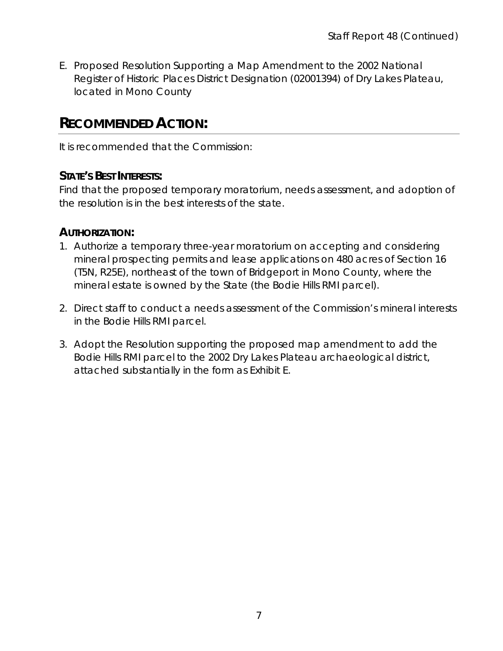E. Proposed Resolution Supporting a Map Amendment to the 2002 National Register of Historic Places District Designation (02001394) of Dry Lakes Plateau, located in Mono County

### **RECOMMENDED ACTION:**

It is recommended that the Commission:

### **STATE'S BEST INTERESTS:**

Find that the proposed temporary moratorium, needs assessment, and adoption of the resolution is in the best interests of the state.

### **AUTHORIZATION:**

- 1. Authorize a temporary three-year moratorium on accepting and considering mineral prospecting permits and lease applications on 480 acres of Section 16 (T5N, R25E), northeast of the town of Bridgeport in Mono County, where the mineral estate is owned by the State (the Bodie Hills RMI parcel).
- 2. Direct staff to conduct a needs assessment of the Commission's mineral interests in the Bodie Hills RMI parcel.
- 3. Adopt the Resolution supporting the proposed map amendment to add the Bodie Hills RMI parcel to the 2002 Dry Lakes Plateau archaeological district, attached substantially in the form as Exhibit E.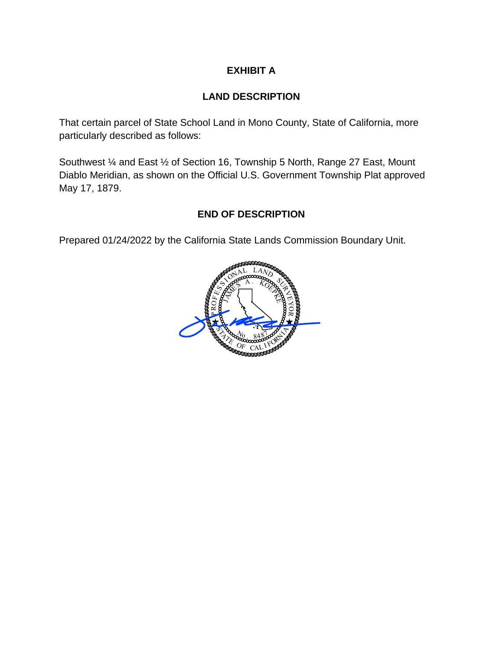#### **EXHIBIT A**

#### **LAND DESCRIPTION**

That certain parcel of State School Land in Mono County, State of California, more particularly described as follows:

Southwest ¼ and East ½ of Section 16, Township 5 North, Range 27 East, Mount Diablo Meridian, as shown on the Official U.S. Government Township Plat approved May 17, 1879.

#### **END OF DESCRIPTION**

Prepared 01/24/2022 by the California State Lands Commission Boundary Unit.

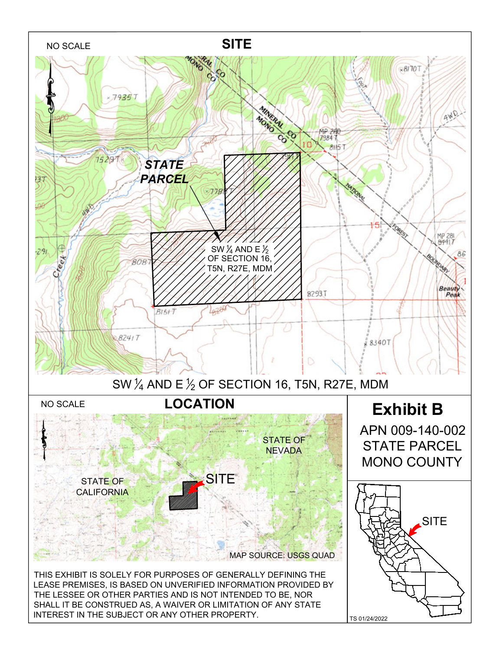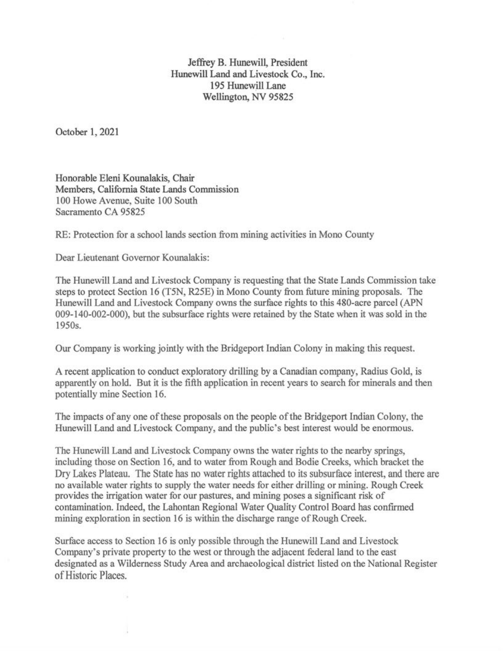Jeffrey B. Hunewill, President Hunewill Land and Livestock Co., Inc. 195 Hunewill Lane Wellington, NV 95825

October 1, 2021

Honorable Eleni Kounalakis, Chair Members, California State Lands Commission 100 Howe Avenue, Suite 100 South Sacramento CA 95825

RE: Protection for a school lands section from mining activities in Mono County

Dear Lieutenant Governor Kounalakis:

The Hunewill Land and Livestock Company is requesting that the State Lands Commission take steps to protect Section 16 (T5N, R25E) in Mono County from future mining proposals. The Hunewill Land and Livestock Company owns the surface rights to this 480-acre parcel (APN 009-140-002-000), but the subsurface rights were retained by the State when it was sold in the 1950s.

Our Company is working jointly with the Bridgeport Indian Colony in making this request.

A recent application to conduct exploratory drilling by a Canadian company, Radius Gold, is apparently on hold. But it is the fifth application in recent years to search for minerals and then potentially mine Section 16.

The impacts of any one of these proposals on the people of the Bridgeport Indian Colony, the Hunewill Land and Livestock Company, and the public's best interest would be enormous.

The Hunewill Land and Livestock Company owns the water rights to the nearby springs, including those on Section 16, and to water from Rough and Bodie Creeks, which bracket the Dry Lakes Plateau. The State has no water rights attached to its subsurface interest, and there are no available water rights to supply the water needs for either drilling or mining. Rough Creek provides the irrigation water for our pastures, and mining poses a significant risk of contamination. Indeed, the Lahontan Regional Water Quality Control Board has confirmed mining exploration in section 16 is within the discharge range of Rough Creek.

Surface access to Section 16 is only possible through the Hunewill Land and Livestock Company's private property to the west or through the adjacent federal land to the east designated as a Wilderness Study Area and archaeological district listed on the National Register of Historic Places.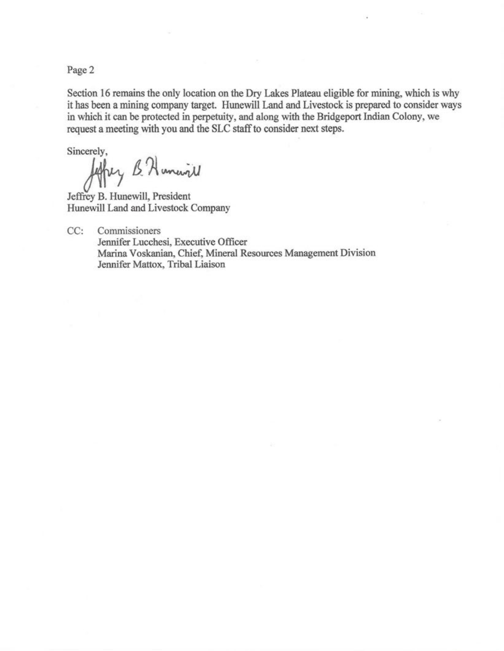Page 2

Section 16 remains the only location on the Dry Lakes Plateau eligible for mining, which is why it has been a mining company target. Hunewill Land and Livestock is prepared to consider ways in which it can be protected in perpetuity, and along with the Bridgeport Indian Colony, we request a meeting with you and the SLC staff to consider next steps.

Sincerely,<br>Jeffrey & Humanil

Jeffrey B. Hunewill, President Hunewill Land and Livestock Company

CC: Commissioners Jennifer Lucchesi, Executive Officer Marina Voskanian, Chief, Mineral Resources Management Division Jennifer Mattox, Tribal Liaison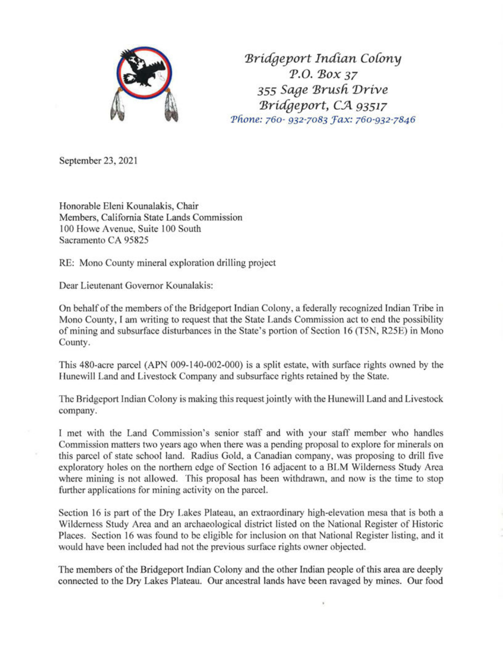

*'Bric(geyort Indian Co{ony P.O. 'Box 37 355 Sage 'Brusli Drive 'Bric(geyort,* C.Jl *93517 Phone: 760- 932-7083 Fax: 760-932-7846* 

September 23, 2021

Honorable Eleni Kounalakis, Chair Members, California State Lands Commission 100 Howe Avenue, Suite 100 South Sacramento CA 95825

RE: Mono County mineral exploration drilling project

Dear Lieutenant Governor Kounalakis:

On behalf of the members of the Bridgeport Indian Colony, a federally recognized Indian Tribe in Mono County, I am writing to request that the State Lands Commission act to end the possibility of mining and subsurface disturbances in the State's portion of Section 16 (T5N, R25E) in Mono County.

This 480-acre parcel (APN 009-140-002-000) is a split estate, with surface rights owned by the Hunewill Land and Livestock Company and subsurface rights retained by the State.

The Bridgeport Indian Colony is making this request jointly with the Hunewill Land and Livestock company.

I met with the Land Commission's senior staff and with your staff member who handles Commission matters two years ago when there was a pending proposal to explore for minerals on this parcel of state school land. Radius Gold, a Canadian company, was proposing to drill five exploratory holes on the northern edge of Section 16 adjacent to a BLM Wilderness Study Area where mining is not allowed. This proposal has been withdrawn, and now is the time to stop further applications for mining activity on the parcel.

Section 16 is part of the Dry Lakes Plateau, an extraordinary high-elevation mesa that is both a Wilderness Study Area and an archaeological district listed on the National Register of Historic Places. Section 16 was found to be eligible for inclusion on that National Register listing, and it would have been included had not the previous surface rights owner objected.

The members of the Bridgeport Indian Colony and the other Indian people of this area are deeply connected to the Dry Lakes Plateau. Our ancestral lands have been ravaged by mines. Our food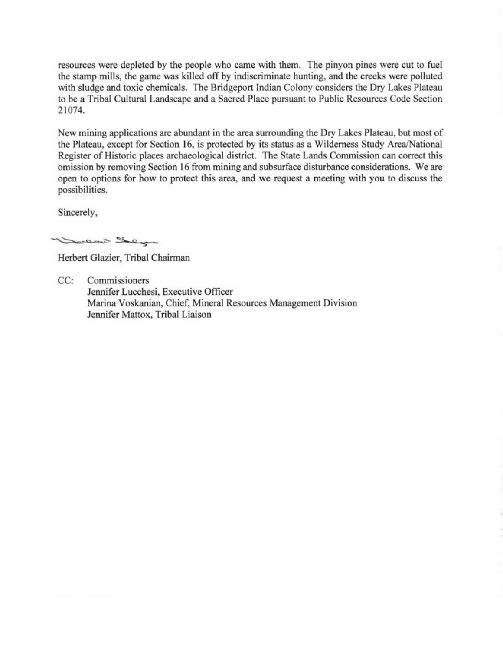resources were depleted by the people who came with them. The pinyon pines were cut to fuel the stamp mills, the game was killed off by indiscriminate hunting, and the creeks were polluted with sludge and toxic chemicals. The Bridgeport Indian Colony considers the Dry Lakes Plateau to be a Tribal Cultural Landscape and a Sacred Place pursuant to Public Resources Code Section 21074.

New mining applications are abundant in the area surrounding the Dry Lakes Plateau, but most of the Plateau, except for Section 16, is protected by its status as a Wilderness Study Area/National Register of Historic places archaeological district. The State Lands Commission can correct this omission by removing Section 16 from mining and subsurface disturbance considerations. We are open to options for how to protect this area, and we request a meeting with you to discuss the possibilities.

Sincerely

marine Lucan

Herbert Glazier, Tribal Chairman

CC: Commissioners Jennifer Lucchesi, Executive Officer Marina Voskanian, Chief, Mineral Resources Management Division Jennifer Mattox, Tribal Liaison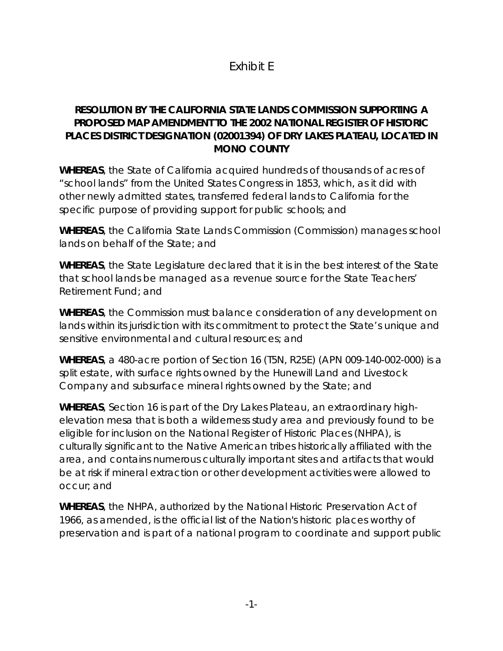### Exhibit E

### **RESOLUTION BY THE CALIFORNIA STATE LANDS COMMISSION SUPPORTING A PROPOSED MAP AMENDMENT TO THE 2002 NATIONAL REGISTER OF HISTORIC PLACES DISTRICT DESIGNATION (02001394) OF DRY LAKES PLATEAU, LOCATED IN MONO COUNTY**

*WHEREAS,* the State of California acquired hundreds of thousands of acres of "school lands" from the United States Congress in 1853, which, as it did with other newly admitted states, transferred federal lands to California for the specific purpose of providing support for public schools; and

*WHEREAS*, the California State Lands Commission (Commission) manages school lands on behalf of the State; and

*WHEREAS*, the State Legislature declared that it is in the best interest of the State that school lands be managed as a revenue source for the State Teachers' Retirement Fund; and

*WHEREAS*, the Commission must balance consideration of any development on lands within its jurisdiction with its commitment to protect the State's unique and sensitive environmental and cultural resources; and

*WHEREAS*, a 480-acre portion of Section 16 (T5N, R25E) (APN 009-140-002-000) is a split estate, with surface rights owned by the Hunewill Land and Livestock Company and subsurface mineral rights owned by the State; and

*WHEREAS*, Section 16 is part of the Dry Lakes Plateau, an extraordinary highelevation mesa that is both a wilderness study area and previously found to be eligible for inclusion on the National Register of Historic Places (NHPA), is culturally significant to the Native American tribes historically affiliated with the area, and contains numerous culturally important sites and artifacts that would be at risk if mineral extraction or other development activities were allowed to occur; and

*WHEREAS*, the NHPA, authorized by the National Historic Preservation Act of 1966, as amended, is the official list of the Nation's historic places worthy of preservation and is part of a national program to coordinate and support public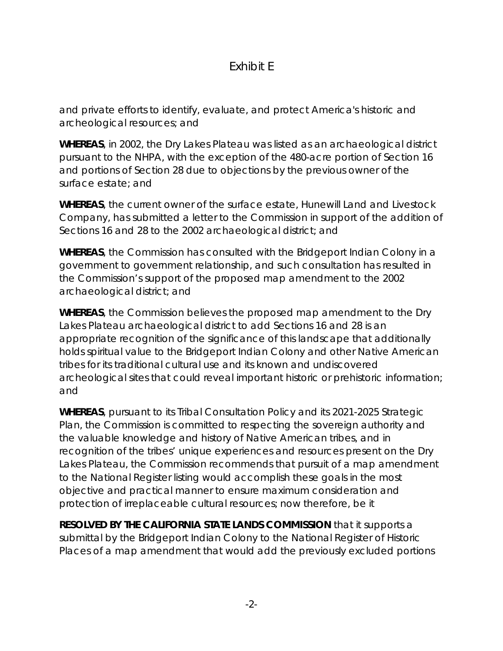### Exhibit E

and private efforts to identify, evaluate, and protect America's historic and archeological resources; and

*WHEREAS*, in 2002, the Dry Lakes Plateau was listed as an archaeological district pursuant to the NHPA, with the exception of the 480-acre portion of Section 16 and portions of Section 28 due to objections by the previous owner of the surface estate; and

*WHEREAS*, the current owner of the surface estate, Hunewill Land and Livestock Company, has submitted a letter to the Commission in support of the addition of Sections 16 and 28 to the 2002 archaeological district; and

*WHEREAS*, the Commission has consulted with the Bridgeport Indian Colony in a government to government relationship, and such consultation has resulted in the Commission's support of the proposed map amendment to the 2002 archaeological district; and

*WHEREAS*, the Commission believes the proposed map amendment to the Dry Lakes Plateau archaeological district to add Sections 16 and 28 is an appropriate recognition of the significance of this landscape that additionally holds spiritual value to the Bridgeport Indian Colony and other Native American tribes for its traditional cultural use and its known and undiscovered archeological sites that could reveal important historic or prehistoric information; and

*WHEREAS*, pursuant to its Tribal Consultation Policy and its 2021-2025 Strategic Plan, the Commission is committed to respecting the sovereign authority and the valuable knowledge and history of Native American tribes, and in recognition of the tribes' unique experiences and resources present on the Dry Lakes Plateau, the Commission recommends that pursuit of a map amendment to the National Register listing would accomplish these goals in the most objective and practical manner to ensure maximum consideration and protection of irreplaceable cultural resources; now therefore, be it

*RESOLVED BY THE CALIFORNIA STATE LANDS COMMISSION* that it supports a submittal by the Bridgeport Indian Colony to the National Register of Historic Places of a map amendment that would add the previously excluded portions